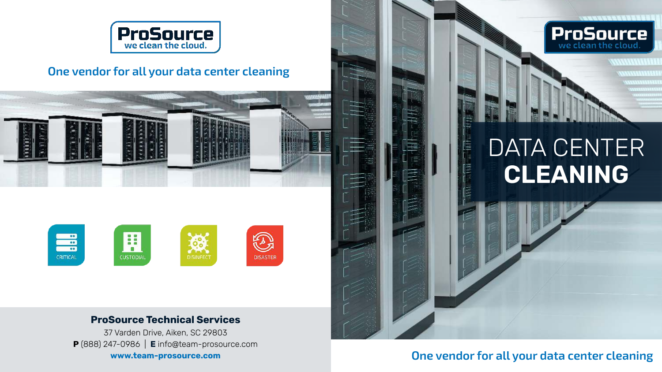

### **One vendor for all your data center cleaning**



#### **ProSource Technical Services**

37 Varden Drive, Aiken, SC 29803 **P** (888) 247-0986 | **E** info@team-prosource.com **www.team-prosource.com**



アラブイスバイング フラクス

**ProSource** 

## **One vendor for all your data center cleaning**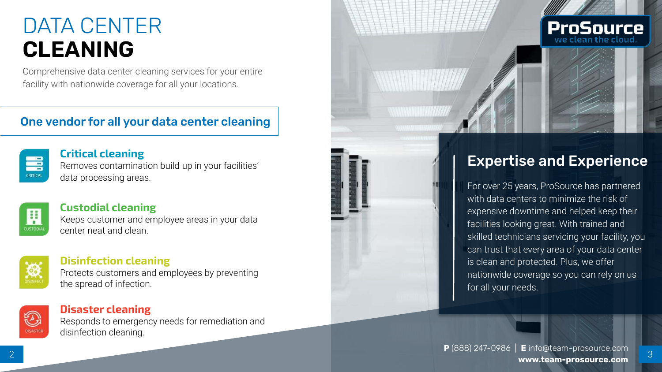# DATA CENTER **CLEANING**

Comprehensive data center cleaning services for your entire facility with nationwide coverage for all your locations.

## One vendor for all your data center cleaning



### **Critical cleaning**

Removes contamination build-up in your facilities' data processing areas.



## **Custodial cleaning**

Keeps customer and employee areas in your data center neat and clean.



### **Disinfection cleaning**

Protects customers and employees by preventing the spread of infection.



#### **Disaster cleaning**

Responds to emergency needs for remediation and disinfection cleaning.



## Expertise and Experience

For over 25 years, ProSource has partnered with data centers to minimize the risk of expensive downtime and helped keep their facilities looking great. With trained and skilled technicians servicing your facility, you can trust that every area of your data center is clean and protected. Plus, we offer nationwide coverage so you can rely on us for all your needs.

**P** (888) 247-0986 | **E** info@team-prosource.com **www.team-prosource.com** <sup>3</sup>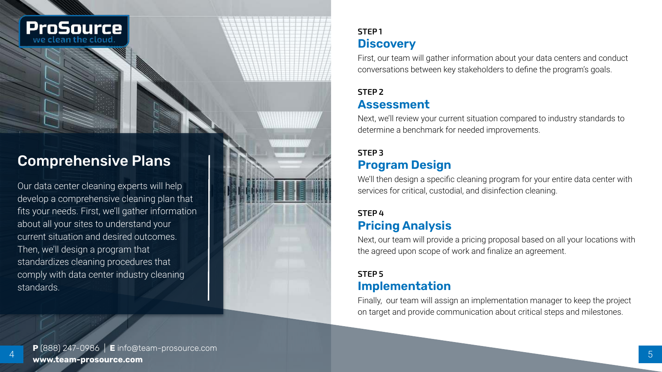

## Comprehensive Plans

Our data center cleaning experts will help develop a comprehensive cleaning plan that fits your needs. First, we'll gather information about all your sites to understand your current situation and desired outcomes. Then, we'll design a program that standardizes cleaning procedures that comply with data center industry cleaning standards.

## **STEP 1 Discovery**

First, our team will gather information about your data centers and conduct conversations between key stakeholders to define the program's goals.

## **STEP 2 Assessment**

Next, we'll review your current situation compared to industry standards to determine a benchmark for needed improvements.

## **STEP 3 Program Design**

We'll then design a specific cleaning program for your entire data center with services for critical, custodial, and disinfection cleaning.

## **STEP 4 Pricing Analysis**

Next, our team will provide a pricing proposal based on all your locations with the agreed upon scope of work and finalize an agreement.

#### **STEP 5 Implementation**

Finally, our team will assign an implementation manager to keep the project on target and provide communication about critical steps and milestones.